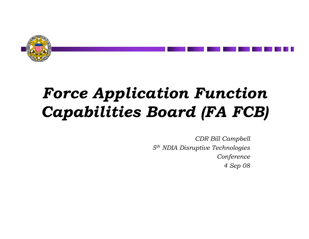

# *Force Application Function Capabilities Board (FA FCB)*

*CDR Bill Campbell 5th NDIA Disruptive Technologies Conference 4 Sep 08*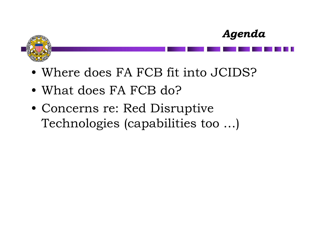



- Where does FA FCB fit into JCIDS?
- What does FA FCB do?
- Concerns re: Red Disruptive Technologies (capabilities too …)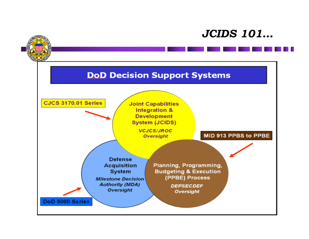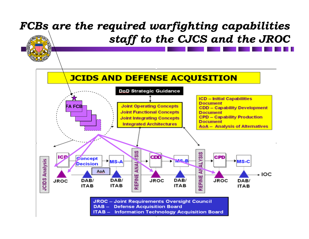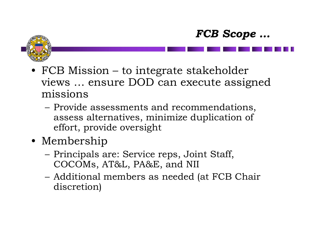



- FCB Mission to integrate stakeholder views … ensure DOD can execute assigned missions
	- – Provide assessments and recommendations, assess alternatives, minimize duplication of effort, provide oversight
- Membership
	- – Principals are: Service reps, Joint Staff, COCOMs, AT&L, PA&E, and NII
	- – Additional members as needed (at FCB Chair discretion)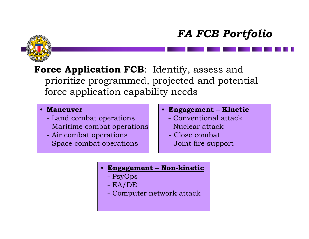## *FA FCB Portfolio*



### **Force Application FCB**: Identify, assess and prioritize programmed, projected and potential force application capability needs

#### • **Maneuver**

- Land combat operations
- Maritime combat operations
- Air combat operations
- Space combat operations
- **Engagement – Kinetic**
	- Conventional attack
	- Nuclear attack
	- Close combat
	- Joint fire support
- • **Engagement – Non-kinetic**
	- PsyOps
	- EA/DE
	- Computer network attack